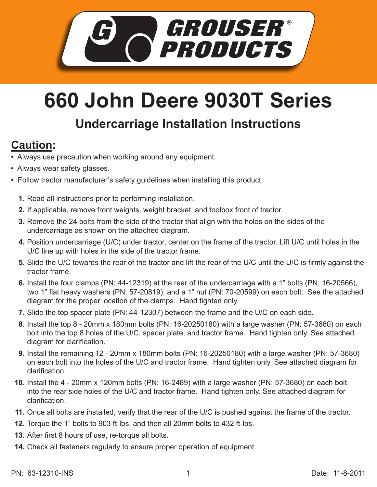

## **660 John Deere 9030T Series**

## **Undercarriage Installation Instructions**

## **Caution:**

- Always use precaution when working around any equipment.
- Always wear safety glasses.
- Follow tractor manufacturer's safety guidelines when installing this product.
	- **1.** Read all instructions prior to performing installation.
	- **2.** If applicable, remove front weights, weight bracket, and toolbox front of tractor.
	- **3.** Remove the 24 bolts from the side of the tractor that align with the holes on the sides of the undercarriage as shown on the attached diagram.
	- **4.** Position undercarriage (U/C) under tractor, center on the frame of the tractor. Lift U/C until holes in the U/C line up with holes in the side of the tractor frame.
	- Slide the U/C towards the rear of the tractor and lift the rear of the U/C until the U/C is firmly against the **5.** tractor frame.
	- **6.** Install the four clamps (PN: 44-12319) at the rear of the undercarriage with a 1" bolts (PN: 16-20566), two 1" flat heavy washers (PN: 57-20819), and a 1" nut (PN: 70-20599) on each bolt. See the attached diagram for the proper location of the clamps. Hand tighten only.
	- 7. Slide the top spacer plate (PN: 44-12307) between the frame and the U/C on each side.
	- Install the top 8 20mm x 180mm bolts (PN: 16-20250180) with a large washer (PN: 57-3680) on each **8.** bolt into the top 8 holes of the U/C, spacer plate, and tractor frame. Hand tighten only. See attached diagram for clarification.
	- Install the remaining 12 20mm x 180mm bolts (PN: 16-20250180) with a large washer (PN: 57-3680) **9.** on each bolt into the holes of the U/C and tractor frame. Hand tighten only. See attached diagram for clarification.
	- **10.** Install the 4 20mm x 120mm bolts (PN: 16-2489) with a large washer (PN: 57-3680) on each bolt into the rear side holes of the U/C and tractor frame. Hand tighten only. See attached diagram for clarification.
	- 11. Once all bolts are installed, verify that the rear of the U/C is pushed against the frame of the tractor.
	- **12.** Torque the 1" bolts to 903 ft-lbs. and then all 20mm bolts to 432 ft-lbs.
- **13.** After first 8 hours of use, re-torque all bolts.
- Check all fasteners regularly to ensure proper operation of equipment. **14.**